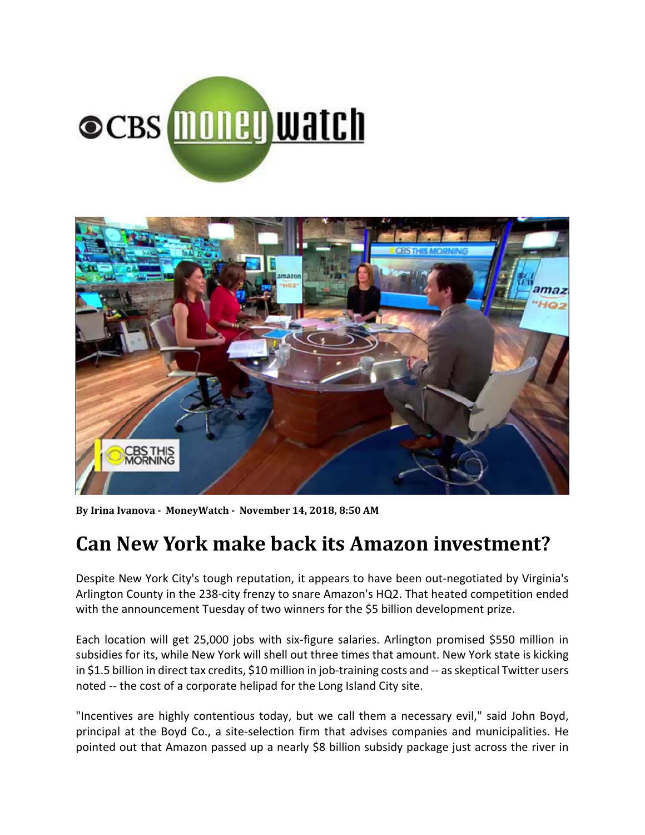



**By Irina Ivanova ‐ MoneyWatch ‐ November 14, 2018, 8:50 AM**

# **Can New York make back its Amazon investment?**

Despite New York City's tough reputation, it appears to have been out-negotiated by Virginia's Arlington County in the 238‐city frenzy to snare Amazon's HQ2. That heated competition ended with the announcement Tuesday of two winners for the \$5 billion development prize.

Each location will get 25,000 jobs with six‐figure salaries. Arlington promised \$550 million in subsidies for its, while New York will shell out three times that amount. New York state is kicking in \$1.5 billion in direct tax credits, \$10 million in job-training costs and -- as skeptical Twitter users noted ‐‐ the cost of a corporate helipad for the Long Island City site.

"Incentives are highly contentious today, but we call them a necessary evil," said John Boyd, principal at the Boyd Co., a site‐selection firm that advises companies and municipalities. He pointed out that Amazon passed up a nearly \$8 billion subsidy package just across the river in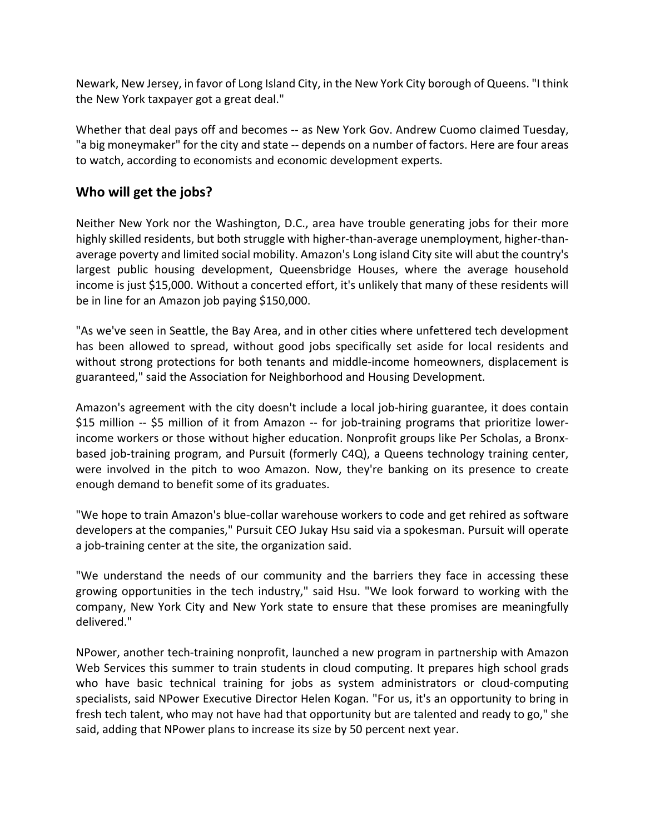Newark, New Jersey, in favor of Long Island City, in the New York City borough of Queens. "I think the New York taxpayer got a great deal."

Whether that deal pays off and becomes -- as New York Gov. Andrew Cuomo claimed Tuesday, "a big moneymaker" for the city and state ‐‐ depends on a number of factors. Here are four areas to watch, according to economists and economic development experts.

## **Who will get the jobs?**

Neither New York nor the Washington, D.C., area have trouble generating jobs for their more highly skilled residents, but both struggle with higher-than-average unemployment, higher-thanaverage poverty and limited social mobility. Amazon's Long island City site will abut the country's largest public housing development, Queensbridge Houses, where the average household income is just \$15,000. Without a concerted effort, it's unlikely that many of these residents will be in line for an Amazon job paying \$150,000.

"As we've seen in Seattle, the Bay Area, and in other cities where unfettered tech development has been allowed to spread, without good jobs specifically set aside for local residents and without strong protections for both tenants and middle‐income homeowners, displacement is guaranteed," said the Association for Neighborhood and Housing Development.

Amazon's agreement with the city doesn't include a local job-hiring guarantee, it does contain \$15 million -- \$5 million of it from Amazon -- for job-training programs that prioritize lowerincome workers or those without higher education. Nonprofit groups like Per Scholas, a Bronx‐ based job-training program, and Pursuit (formerly C4Q), a Queens technology training center, were involved in the pitch to woo Amazon. Now, they're banking on its presence to create enough demand to benefit some of its graduates.

"We hope to train Amazon's blue‐collar warehouse workers to code and get rehired as software developers at the companies," Pursuit CEO Jukay Hsu said via a spokesman. Pursuit will operate a job-training center at the site, the organization said.

"We understand the needs of our community and the barriers they face in accessing these growing opportunities in the tech industry," said Hsu. "We look forward to working with the company, New York City and New York state to ensure that these promises are meaningfully delivered."

NPower, another tech‐training nonprofit, launched a new program in partnership with Amazon Web Services this summer to train students in cloud computing. It prepares high school grads who have basic technical training for jobs as system administrators or cloud-computing specialists, said NPower Executive Director Helen Kogan. "For us, it's an opportunity to bring in fresh tech talent, who may not have had that opportunity but are talented and ready to go," she said, adding that NPower plans to increase its size by 50 percent next year.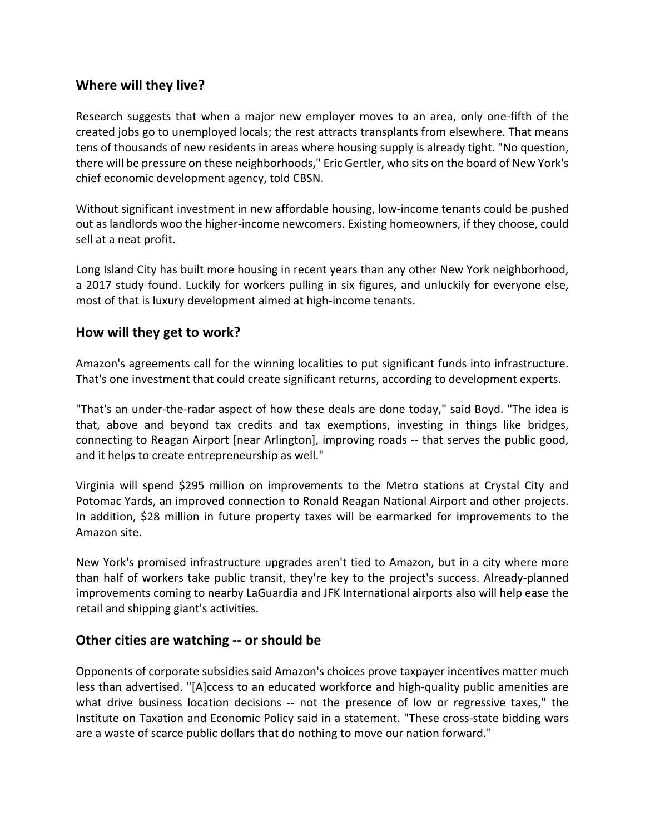## **Where will they live?**

Research suggests that when a major new employer moves to an area, only one‐fifth of the created jobs go to unemployed locals; the rest attracts transplants from elsewhere. That means tens of thousands of new residents in areas where housing supply is already tight. "No question, there will be pressure on these neighborhoods," Eric Gertler, who sits on the board of New York's chief economic development agency, told CBSN.

Without significant investment in new affordable housing, low-income tenants could be pushed out as landlords woo the higher‐income newcomers. Existing homeowners, if they choose, could sell at a neat profit.

Long Island City has built more housing in recent years than any other New York neighborhood, a 2017 study found. Luckily for workers pulling in six figures, and unluckily for everyone else, most of that is luxury development aimed at high‐income tenants.

### **How will they get to work?**

Amazon's agreements call for the winning localities to put significant funds into infrastructure. That's one investment that could create significant returns, according to development experts.

"That's an under‐the‐radar aspect of how these deals are done today," said Boyd. "The idea is that, above and beyond tax credits and tax exemptions, investing in things like bridges, connecting to Reagan Airport [near Arlington], improving roads ‐‐ that serves the public good, and it helps to create entrepreneurship as well."

Virginia will spend \$295 million on improvements to the Metro stations at Crystal City and Potomac Yards, an improved connection to Ronald Reagan National Airport and other projects. In addition, \$28 million in future property taxes will be earmarked for improvements to the Amazon site.

New York's promised infrastructure upgrades aren't tied to Amazon, but in a city where more than half of workers take public transit, they're key to the project's success. Already‐planned improvements coming to nearby LaGuardia and JFK International airports also will help ease the retail and shipping giant's activities.

### **Other cities are watching ‐‐ or should be**

Opponents of corporate subsidies said Amazon's choices prove taxpayer incentives matter much less than advertised. "[A]ccess to an educated workforce and high‐quality public amenities are what drive business location decisions -- not the presence of low or regressive taxes," the Institute on Taxation and Economic Policy said in a statement. "These cross‐state bidding wars are a waste of scarce public dollars that do nothing to move our nation forward."